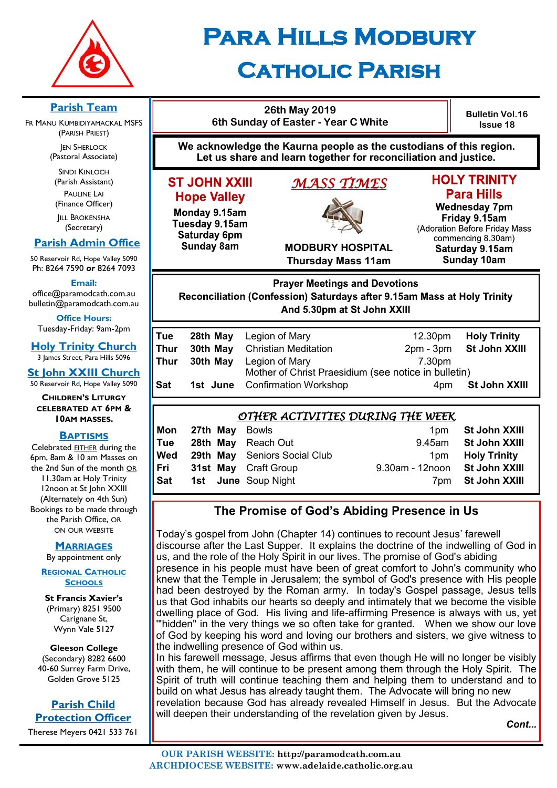

## **Para Hills Modbury Catholic Parish**

#### **Parish Team**

FR MANU KUMBIDIYAMACKAL MSFS (PARISH PRIEST)

**JEN SHERLOCK** (Pastoral Associate)

SINDI KINLOCH (Parish Assistant) PAULINE LAI (Finance Officer)

**IILL BROKENSHA** (Secretary)

#### **Parish Admin Office**

50 Reservoir Rd, Hope Valley 5090 Ph: 8264 7590 *or* 8264 7093

**Email:** 

office@paramodcath.com.au bulletin@paramodcath.com.au

**Office Hours:**  Tuesday-Friday: 9am-2pm

**Holy Trinity Church** 3 James Street, Para Hills 5096

**St John XXIII Church**

50 Reservoir Rd, Hope Valley 5090

**CHILDREN'S LITURGY CELEBRATED AT 6PM & 10AM MASSES.**

#### **BAPTISMS**

Celebrated EITHER during the 6pm, 8am & 10 am Masses on the 2nd Sun of the month OR 11.30am at Holy Trinity 12noon at St John XXIII (Alternately on 4th Sun) Bookings to be made through the Parish Office, OR ON OUR WEBSITE

#### **MARRIAGES**

By appointment only

#### **REGIONAL CATHOLIC SCHOOLS**

**St Francis Xavier's**  (Primary) 8251 9500 Carignane St, Wynn Vale 5127

**Gleeson College**  (Secondary) 8282 6600 40-60 Surrey Farm Drive, Golden Grove 5125

### **Parish Child Protection Officer**

Therese Meyers 0421 533 761

## **26th May 2019 6th Sunday of Easter - Year C White**

**Bulletin Vol.16 Issue 18**

**We acknowledge the Kaurna people as the custodians of this region. Let us share and learn together for reconciliation and justice.**

#### **ST JOHN XXIII Hope Valley**

Monday 9.15am Tuesday 9.15am Saturday 6pm **Sunday 8am** 

# *MASS TIMES*

**HOLY TRINITY Para Hills** 

**Wednesday 7pm** Friday 9.15am (Adoration Before Friday Mass commencing 8.30am) Saturday 9.15am **Sunday 10am** 

**MODBURY HOSPITAL Thursday Mass 11am**

## **Prayer Meetings and Devotions** Reconciliation (Confession) Saturdays after 9.15am Mass at Holy Trinity And 5.30pm at St John XXIII

| Tue  |          | 28th May Legion of Mary                              | 12.30pm | <b>Holy Trinity</b>     |
|------|----------|------------------------------------------------------|---------|-------------------------|
| Thur |          | <b>30th May</b> Christian Meditation                 |         | 2pm - 3pm St John XXIII |
| Thur | 30th May | Legion of Mary                                       | 7.30pm  |                         |
|      |          | Mother of Christ Praesidium (see notice in bulletin) |         |                         |
| Sat  |          | <b>1st June</b> Confirmation Workshop                | 4pm     | St John XXIII           |
|      |          |                                                      |         |                         |

#### *OTHER ACTIVITIES DURING THE WEEK*  **Mon 27th May** Bowls **1pm St John XXIII Tue 28th May** Reach Out 9.45am **St John XXIII Wed** 29th May Seniors Social Club 1pm Holy Trinity **Fri 31st May** Craft Group 9.30am - 12noon **St John XXIII Sat 1st June** Soup Night 7pm **St John XXIII**

#### **The Promise of God's Abiding Presence in Us**

Today's gospel from John (Chapter 14) continues to recount Jesus' farewell discourse after the Last Supper. It explains the doctrine of the indwelling of God in us, and the role of the Holy Spirit in our lives. The promise of God's abiding presence in his people must have been of great comfort to John's community who knew that the Temple in Jerusalem; the symbol of God's presence with His people had been destroyed by the Roman army. In today's Gospel passage, Jesus tells us that God inhabits our hearts so deeply and intimately that we become the visible dwelling place of God. His living and life-affirming Presence is always with us, yet '"hidden" in the very things we so often take for granted. When we show our love of God by keeping his word and loving our brothers and sisters, we give witness to the indwelling presence of God within us.

In his farewell message, Jesus affirms that even though He will no longer be visibly with them, he will continue to be present among them through the Holy Spirit. The Spirit of truth will continue teaching them and helping them to understand and to build on what Jesus has already taught them. The Advocate will bring no new revelation because God has already revealed Himself in Jesus. But the Advocate will deepen their understanding of the revelation given by Jesus.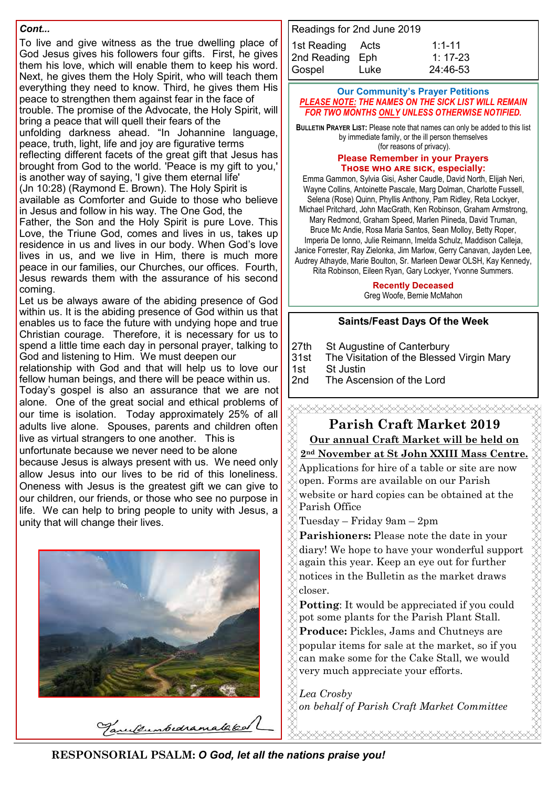#### *Cont...*

To live and give witness as the true dwelling place of God Jesus gives his followers four gifts. First, he gives them his love, which will enable them to keep his word. Next, he gives them the Holy Spirit, who will teach them everything they need to know. Third, he gives them His peace to strengthen them against fear in the face of

trouble. The promise of the Advocate, the Holy Spirit, will bring a peace that will quell their fears of the

unfolding darkness ahead. "In Johannine language, peace, truth, light, life and joy are figurative terms

reflecting different facets of the great gift that Jesus has brought from God to the world. 'Peace is my gift to you,' is another way of saying, 'I give them eternal life'

(Jn 10:28) (Raymond E. Brown). The Holy Spirit is available as Comforter and Guide to those who believe in Jesus and follow in his way. The One God, the

Father, the Son and the Holy Spirit is pure Love. This Love, the Triune God, comes and lives in us, takes up residence in us and lives in our body. When God's love lives in us, and we live in Him, there is much more peace in our families, our Churches, our offices. Fourth, Jesus rewards them with the assurance of his second coming.

Let us be always aware of the abiding presence of God within us. It is the abiding presence of God within us that enables us to face the future with undying hope and true Christian courage. Therefore, it is necessary for us to spend a little time each day in personal prayer, talking to God and listening to Him. We must deepen our

relationship with God and that will help us to love our fellow human beings, and there will be peace within us.

Today's gospel is also an assurance that we are not alone. One of the great social and ethical problems of our time is isolation. Today approximately 25% of all adults live alone. Spouses, parents and children often live as virtual strangers to one another. This is

unfortunate because we never need to be alone

because Jesus is always present with us. We need only allow Jesus into our lives to be rid of this loneliness. Oneness with Jesus is the greatest gift we can give to our children, our friends, or those who see no purpose in life. We can help to bring people to unity with Jesus, a unity that will change their lives.



Tanulsumbedrama

| Readings for 2nd June 2019 |      |            |  |  |  |
|----------------------------|------|------------|--|--|--|
| 1st Reading Acts           |      | $1:1 - 11$ |  |  |  |
| 2nd Reading Eph            |      | $1:17-23$  |  |  |  |
| Gospel                     | Luke | 24:46-53   |  |  |  |

#### **Our Community's Prayer Petitions**  *PLEASE NOTE: THE NAMES ON THE SICK LIST WILL REMAIN FOR TWO MONTHS ONLY UNLESS OTHERWISE NOTIFIED.*

**BULLETIN PRAYER LIST:** Please note that names can only be added to this list by immediate family, or the ill person themselves (for reasons of privacy).

#### **Please Remember in your Prayers** THOSE WHO ARE SICK, especially:

Emma Gammon, Sylvia Gisi, Asher Caudle, David North, Elijah Neri, Wayne Collins, Antoinette Pascale, Marg Dolman, Charlotte Fussell, Selena (Rose) Quinn, Phyllis Anthony, Pam Ridley, Reta Lockyer, Michael Pritchard, John MacGrath, Ken Robinson, Graham Armstrong,

Mary Redmond, Graham Speed, Marlen Piineda, David Truman, Bruce Mc Andie, Rosa Maria Santos, Sean Molloy, Betty Roper, Imperia De Ionno, Julie Reimann, Imelda Schulz, Maddison Calleja, Janice Forrester, Ray Zielonka, Jim Marlow, Gerry Canavan, Jayden Lee, Audrey Athayde, Marie Boulton, Sr. Marleen Dewar OLSH, Kay Kennedy, Rita Robinson, Eileen Ryan, Gary Lockyer, Yvonne Summers.

#### **Recently Deceased**

Greg Woofe, Bernie McMahon

#### **Saints/Feast Days Of the Week**

27th St Augustine of Canterbury

31st The Visitation of the Blessed Virgin Mary

1st St Justin

2nd The Ascension of the Lord

#### XXXXXXXXXXXXXXXXXXXXXXXXXXXXXXX **Parish Craft Market 2019**

## **Our annual Craft Market will be held on**

#### **2nd November at St John XXIII Mass Centre.**

Applications for hire of a table or site are now open. Forms are available on our Parish website or hard copies can be obtained at the Parish Office

Tuesday – Friday 9am – 2pm

**Parishioners:** Please note the date in your diary! We hope to have your wonderful support again this year. Keep an eye out for further notices in the Bulletin as the market draws closer.

**Potting**: It would be appreciated if you could pot some plants for the Parish Plant Stall. **Produce:** Pickles, Jams and Chutneys are popular items for sale at the market, so if you can make some for the Cake Stall, we would very much appreciate your efforts.

*Lea Crosby on behalf of Parish Craft Market Committee*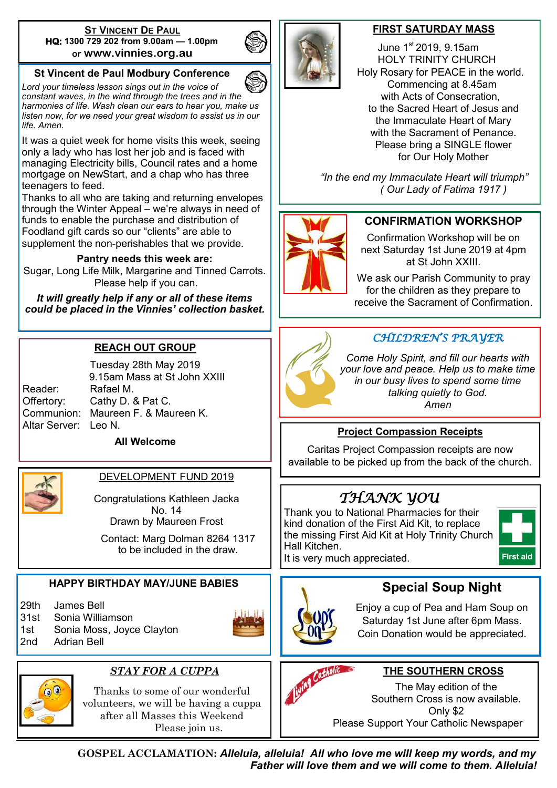#### **ST VINCENT DE PAUL HQ: 1300 729 202 from 9.00am — 1.00pm or www.vinnies.org.au**

#### **St Vincent de Paul Modbury Conference**

*Lord your timeless lesson sings out in the voice of constant waves, in the wind through the trees and in the harmonies of life. Wash clean our ears to hear you, make us listen now, for we need your great wisdom to assist us in our life. Amen.*

It was a quiet week for home visits this week, seeing only a lady who has lost her job and is faced with managing Electricity bills, Council rates and a home mortgage on NewStart, and a chap who has three teenagers to feed.

Thanks to all who are taking and returning envelopes through the Winter Appeal – we're always in need of funds to enable the purchase and distribution of Foodland gift cards so our "clients" are able to supplement the non-perishables that we provide.

#### **Pantry needs this week are:**

Sugar, Long Life Milk, Margarine and Tinned Carrots. Please help if you can.

*It will greatly help if any or all of these items could be placed in the Vinnies' collection basket.*

#### **REACH OUT GROUP**

Tuesday 28th May 2019 9.15am Mass at St John XXIII Reader: Rafael M. Offertory: Cathy D. & Pat C. Communion: Maureen F. & Maureen K. Altar Server: Leo N. **All Welcome**



#### DEVELOPMENT FUND 2019

Congratulations Kathleen Jacka No. 14 Drawn by Maureen Frost

Contact: Marg Dolman 8264 1317 to be included in the draw.

#### **HAPPY BIRTHDAY MAY/JUNE BABIES**

29th James Bell

31st Sonia Williamson

1st Sonia Moss, Joyce Clayton







#### *STAY FOR A CUPPA*

Thanks to some of our wonderful volunteers, we will be having a cuppa after all Masses this Weekend Please join us.



#### **FIRST SATURDAY MASS**

 June 1st 2019, 9.15am HOLY TRINITY CHURCH Holy Rosary for PEACE in the world. Commencing at 8.45am with Acts of Consecration, to the Sacred Heart of Jesus and the Immaculate Heart of Mary with the Sacrament of Penance. Please bring a SINGLE flower for Our Holy Mother

 *"In the end my Immaculate Heart will triumph" ( Our Lady of Fatima 1917 )*



#### **CONFIRMATION WORKSHOP**

Confirmation Workshop will be on next Saturday 1st June 2019 at 4pm at St John XXIII.

We ask our Parish Community to pray for the children as they prepare to receive the Sacrament of Confirmation.



#### *CHILDREN'S PRAYER*

*Come Holy Spirit, and fill our hearts with your love and peace. Help us to make time in our busy lives to spend some time talking quietly to God. Amen*

#### **Project Compassion Receipts**

Caritas Project Compassion receipts are now available to be picked up from the back of the church.

## *THANK YOU*

Thank you to National Pharmacies for their kind donation of the First Aid Kit, to replace the missing First Aid Kit at Holy Trinity Church Hall Kitchen.

It is very much appreciated.





Enjoy a cup of Pea and Ham Soup on Saturday 1st June after 6pm Mass. Coin Donation would be appreciated.

**Special Soup Night**



#### **THE SOUTHERN CROSS**

The May edition of the Southern Cross is now available. Only \$2 Please Support Your Catholic Newspaper

**GOSPEL ACCLAMATION:** *Alleluia, alleluia! All who love me will keep my words, and my Father will love them and we will come to them. Alleluia!*